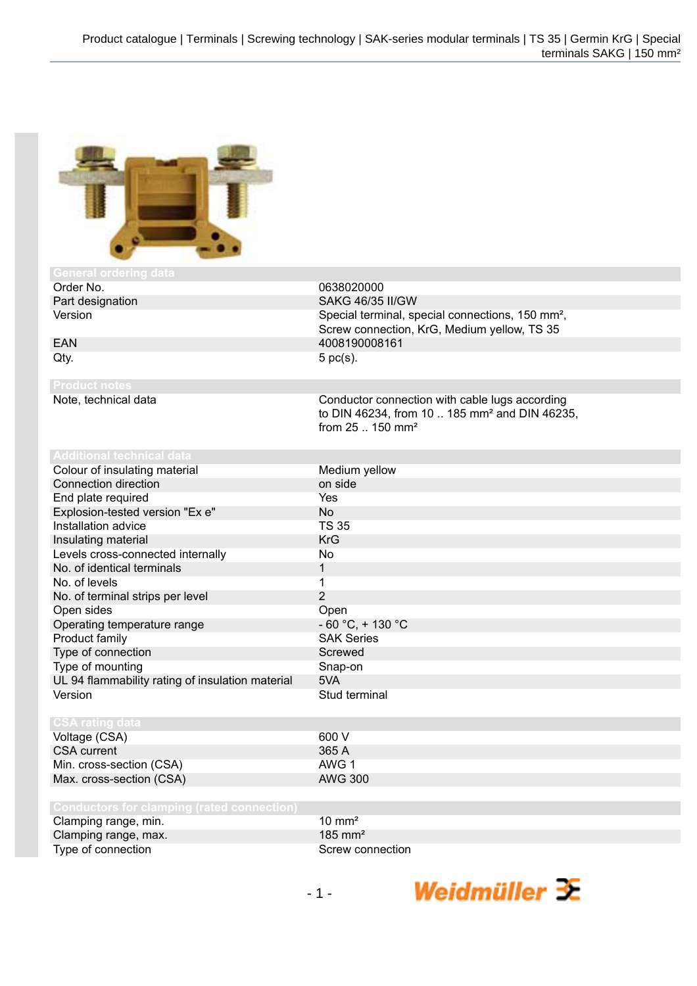

## Order No. 0638020000 Part designation SAKG 46/35 II/GW Version **Special terminal, special connections**, 150 mm<sup>2</sup>, Screw connection, KrG, Medium yellow, TS 35 EAN 4008190008161  $Qty.$  5 pc(s). Note, technical data Conductor connection with cable lugs according to DIN 46234, from 10 .. 185 mm² and DIN 46235, from 25 .. 150 mm² Colour of insulating material Medium yellow Connection direction **connection** on side End plate required Yes Explosion-tested version "Ex e" No Installation advice TS 35 Insulating material KrG Levels cross-connected internally No No. of identical terminals 1<br>No. of levels 1 No. of levels<br>No. of terminal strips per level example and the same of the strips of the strip of the strip of the strip of t<br>2 No. of terminal strips per level Open sides<br>Operating temperature range entitled and the SO °C, + 130 °C Operating temperature range  $\begin{array}{ccc} - & - & - \cdot & - \cdot & - \cdot \\ \text{Product family} & & \text{SAK Series} \end{array}$ Product family Type of connection Screwed Type of mounting Type of mounting Snap-on UL 94 flammability rating of insulation material 5VA Version **Stud terminal** Voltage (CSA) 600 V<br>CSA current 600 V<br>CSA current 600 V CSA current 365 A<br>
Min. cross-section (CSA) 2006 2007 AWG 1 Min. cross-section (CSA) AWG 1 Max. cross-section (CSA) Clamping range, min. 10 mm<sup>2</sup> Clamping range, max. 185 mm<sup>2</sup>

Type of connection Screw connection

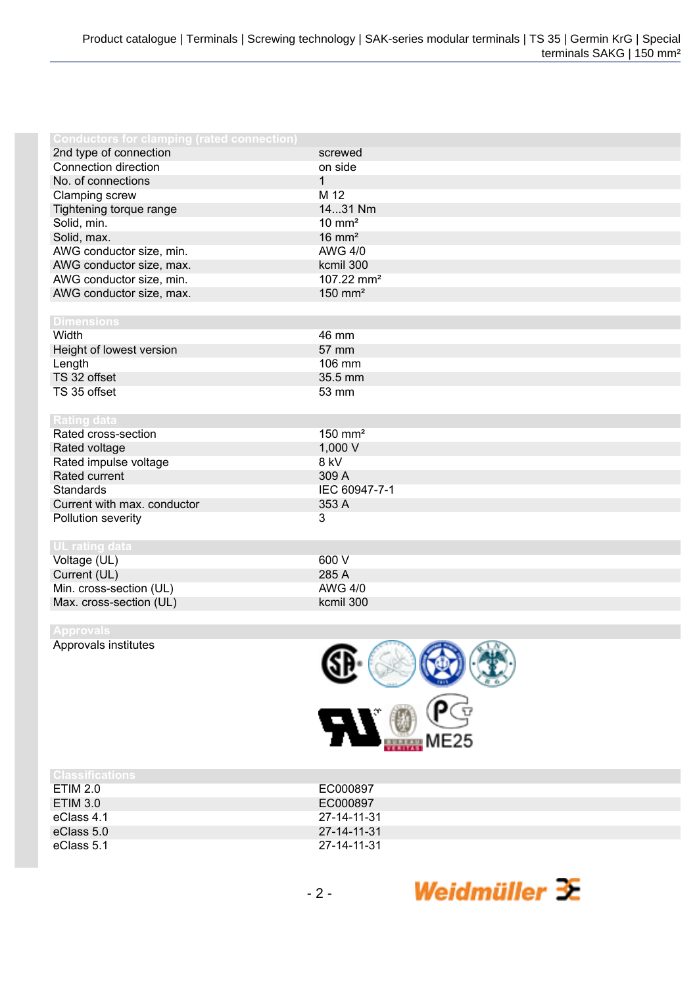| <b>Conductors for clamping (rated connection)</b> |                        |
|---------------------------------------------------|------------------------|
| 2nd type of connection                            | screwed                |
| Connection direction                              | on side                |
| No. of connections                                | $\mathbf{1}$           |
| Clamping screw                                    | M 12                   |
| Tightening torque range                           | 1431 Nm                |
| Solid, min.                                       | $10 \text{ mm}^2$      |
| Solid, max.                                       | $16 \text{ mm}^2$      |
| AWG conductor size, min.                          | <b>AWG 4/0</b>         |
| AWG conductor size, max.                          | kcmil 300              |
| AWG conductor size, min.                          | 107.22 mm <sup>2</sup> |
| AWG conductor size, max.                          | $150$ mm <sup>2</sup>  |
|                                                   |                        |
| <b>Dimensions</b>                                 |                        |
| Width                                             | 46 mm                  |
| Height of lowest version                          | 57 mm                  |
| Length                                            | 106 mm                 |
| TS 32 offset                                      | 35.5 mm                |
| TS 35 offset                                      | 53 mm                  |
|                                                   |                        |
| <b>Rating data</b>                                |                        |
| Rated cross-section                               | $150$ mm <sup>2</sup>  |
| Rated voltage                                     | 1,000 V                |
| Rated impulse voltage                             | 8 kV                   |
| Rated current                                     | 309 A                  |
| <b>Standards</b>                                  | IEC 60947-7-1          |
| Current with max. conductor                       | 353 A                  |
| Pollution severity                                | 3                      |
|                                                   |                        |
| <b>UL rating data</b>                             |                        |
| Voltage (UL)                                      | 600 V                  |
| Current (UL)                                      | 285 A                  |
| Min. cross-section (UL)                           | <b>AWG 4/0</b>         |
| Max. cross-section (UL)                           | kcmil 300              |

Approvals institutes



| <b>Classifications</b> |             |
|------------------------|-------------|
| ETIM 2.0               | EC000897    |
| <b>ETIM 3.0</b>        | EC000897    |
| eClass 4.1             | 27-14-11-31 |
| eClass 5.0             | 27-14-11-31 |
| eClass 5.1             | 27-14-11-31 |